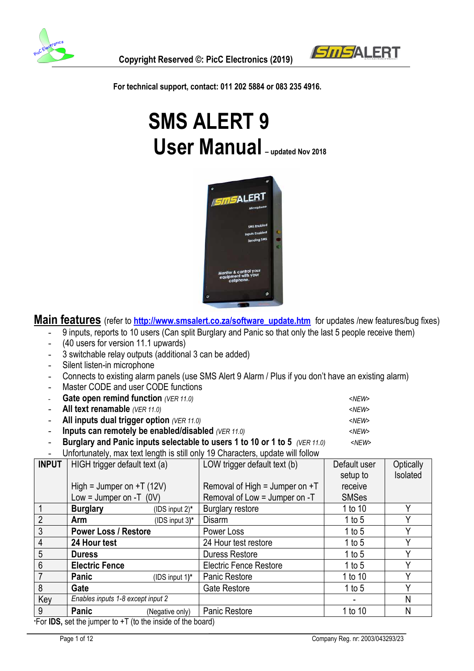



 **For technical support, contact: 011 202 5884 or 083 235 4916.**

# **SMS ALERT 9 User Manual – updated Nov <sup>2018</sup>**



**Main features** (refer to **http://www.smsalert.co.za/software\_update.htm** for updates /new features/bug fixes)

- 9 inputs, reports to 10 users (Can split Burglary and Panic so that only the last 5 people receive them)
- (40 users for version 11.1 upwards)
- 3 switchable relay outputs (additional 3 can be added)
- Silent listen-in microphone
- Connects to existing alarm panels (use SMS Alert 9 Alarm / Plus if you don't have an existing alarm)
- Master CODE and user CODE functions
- **Gate open remind function** *(VER 11.0)*  $\leq$  **SACCO 3.47**  $\leq$ *NEW>* All text renamable *(VER 11.0)*  $\leq$ NEW> All inputs dual trigger option *(VER 11.0)*  $\leq NEW$ - **Inputs can remotely be enabled/disabled** (VER 11.0)  $\leq NEW>$ - **Burglary and Panic inputs selectable to users 1 to 10 or 1 to 5** *(VER 11.0) <NEW>*
- Unfortunately, max text length is still only 19 Characters, update will follow

| <b>INPUT</b>    | HIGH trigger default text (a)                                                                  |                 | LOW trigger default text (b)     | Default user | Optically |
|-----------------|------------------------------------------------------------------------------------------------|-----------------|----------------------------------|--------------|-----------|
|                 |                                                                                                |                 |                                  | setup to     | Isolated  |
|                 | High = Jumper on $+T(12V)$                                                                     |                 | Removal of High = Jumper on $+T$ | receive      |           |
|                 | Low = Jumper on -T $(0V)$                                                                      |                 | Removal of Low = Jumper on -T    | <b>SMSes</b> |           |
|                 | <b>Burglary</b>                                                                                | (IDS input 2)*  | <b>Burglary restore</b>          | 1 to 10      | v         |
| $\overline{2}$  | Arm                                                                                            | (IDS input 3)*  | <b>Disarm</b>                    | 1 to $5$     | γ         |
| $\mathfrak{Z}$  | <b>Power Loss / Restore</b>                                                                    |                 | Power Loss                       | 1 to 5       | Υ         |
| $\overline{4}$  | 24 Hour test                                                                                   |                 | 24 Hour test restore             | 1 to $5$     | v         |
| $5\phantom{.0}$ | <b>Duress</b>                                                                                  |                 | <b>Duress Restore</b>            | 1 to 5       |           |
| $6\phantom{1}6$ | <b>Electric Fence</b>                                                                          |                 | <b>Electric Fence Restore</b>    | 1 to $5$     | ν         |
|                 | Panic                                                                                          | (IDS input 1)*  | <b>Panic Restore</b>             | 1 to 10      | Υ         |
| 8               | Gate                                                                                           |                 | Gate Restore                     | 1 to $5$     |           |
| Key             | Enables inputs 1-8 except input 2                                                              |                 |                                  |              | N         |
| 9               | <b>Panic</b>                                                                                   | (Negative only) | <b>Panic Restore</b>             | 1 to 10      | N         |
| <b>CALLO</b>    | . In the column constant $\mathbf{F}$ (the theory is a field of the collection of $\mathbf{F}$ |                 |                                  |              |           |

\*For **IDS,** set the jumper to +T (to the inside of the board)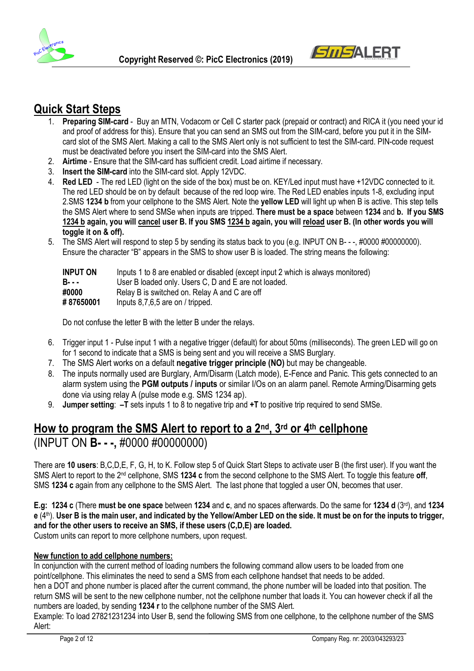



### **Quick Start Steps**

- 1. **Preparing SIM-card** Buy an MTN, Vodacom or Cell C starter pack (prepaid or contract) and RICA it (you need your id and proof of address for this). Ensure that you can send an SMS out from the SIM-card, before you put it in the SIMcard slot of the SMS Alert. Making a call to the SMS Alert only is not sufficient to test the SIM-card. PIN-code request must be deactivated before you insert the SIM-card into the SMS Alert.
- 2. **Airtime** Ensure that the SIM-card has sufficient credit. Load airtime if necessary.
- 3. **Insert the SIM-card** into the SIM-card slot. Apply 12VDC.
- 4. **Red LED** The red LED (light on the side of the box) must be on. KEY/Led input must have +12VDC connected to it. The red LED should be on by default because of the red loop wire. The Red LED enables inputs 1-8, excluding input 2.SMS **1234 b** from your cellphone to the SMS Alert. Note the **yellow LED** will light up when B is active. This step tells the SMS Alert where to send SMSe when inputs are tripped. **There must be a space** between **1234** and **b. If you SMS 1234 b again, you will cancel user B. If you SMS 1234 b again, you will reload user B. (In other words you will toggle it on & off).**
- 5. The SMS Alert will respond to step 5 by sending its status back to you (e.g. INPUT ON B- -, #0000 #00000000). Ensure the character "B" appears in the SMS to show user B is loaded. The string means the following:

| <b>INPUT ON</b> | Inputs 1 to 8 are enabled or disabled (except input 2 which is always monitored) |
|-----------------|----------------------------------------------------------------------------------|
| <b>B</b> - - -  | User B loaded only. Users C, D and E are not loaded.                             |
| #0000           | Relay B is switched on. Relay A and C are off                                    |
| #87650001       | Inputs $8,7,6,5$ are on / tripped.                                               |

Do not confuse the letter B with the letter B under the relays.

- 6. Trigger input 1 Pulse input 1 with a negative trigger (default) for about 50ms (milliseconds). The green LED will go on for 1 second to indicate that a SMS is being sent and you will receive a SMS Burglary.
- 7. The SMS Alert works on a default **negative trigger principle (NO)** but may be changeable.
- 8. The inputs normally used are Burglary, Arm/Disarm (Latch mode), E-Fence and Panic. This gets connected to an alarm system using the **PGM outputs / inputs** or similar I/Os on an alarm panel. Remote Arming/Disarming gets done via using relay A (pulse mode e.g. SMS 1234 ap).
- 9. **Jumper setting**: **–T** sets inputs 1 to 8 to negative trip and **+T** to positive trip required to send SMSe.

# **How to program the SMS Alert to report to a 2nd, 3rd or 4th cellphone**

## (INPUT ON **B- - -,** #0000 #00000000)

There are **10 users**: B,C,D,E, F, G, H, to K. Follow step 5 of Quick Start Steps to activate user B (the first user). If you want the SMS Alert to report to the 2nd cellphone, SMS **1234 c** from the second cellphone to the SMS Alert. To toggle this feature **off**, SMS 1234 c again from any cellphone to the SMS Alert. The last phone that toggled a user ON, becomes that user.

**E.g: 1234 c** (There **must be one space** between **1234** and **c**, and no spaces afterwards. Do the same for **1234 d** (3<sup>rd</sup>), and **1234 e** (4th). **User B is the main user, and indicated by the Yellow/Amber LED on the side. It must be on for the inputs to trigger, and for the other users to receive an SMS, if these users (C,D,E) are loaded.** Custom units can report to more cellphone numbers, upon request.

#### **New function to add cellphone numbers:**

In conjunction with the current method of loading numbers the following command allow users to be loaded from one point/cellphone. This eliminates the need to send a SMS from each cellphone handset that needs to be added. hen a DOT and phone number is placed after the current command, the phone number will be loaded into that position. The

return SMS will be sent to the new cellphone number, not the cellphone number that loads it. You can however check if all the numbers are loaded, by sending **1234 r** to the cellphone number of the SMS Alert.

Example: To load 27821231234 into User B, send the following SMS from one cellphone, to the cellphone number of the SMS Alert: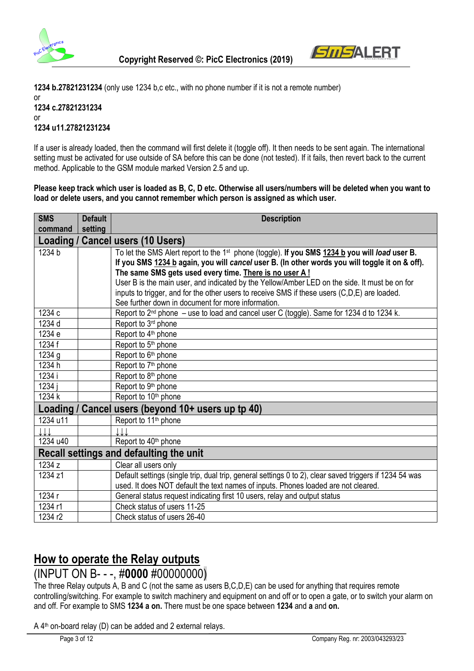



**1234 b.27821231234** (only use 1234 b,c etc., with no phone number if it is not a remote number)

#### or **1234 c.27821231234** or **1234 u11.27821231234**

If a user is already loaded, then the command will first delete it (toggle off). It then needs to be sent again. The international setting must be activated for use outside of SA before this can be done (not tested). If it fails, then revert back to the current method. Applicable to the GSM module marked Version 2.5 and up.

**Please keep track which user is loaded as B, C, D etc. Otherwise all users/numbers will be deleted when you want to load or delete users, and you cannot remember which person is assigned as which user.**

| <b>SMS</b><br>command | <b>Default</b><br>setting | <b>Description</b>                                                                                         |
|-----------------------|---------------------------|------------------------------------------------------------------------------------------------------------|
|                       |                           | Loading / Cancel users (10 Users)                                                                          |
| 1234 b                |                           | To let the SMS Alert report to the 1 <sup>st</sup> phone (toggle). If you SMS 1234 b you will load user B. |
|                       |                           | If you SMS 1234 b again, you will cancel user B. (In other words you will toggle it on & off).             |
|                       |                           | The same SMS gets used every time. There is no user A!                                                     |
|                       |                           | User B is the main user, and indicated by the Yellow/Amber LED on the side. It must be on for              |
|                       |                           | inputs to trigger, and for the other users to receive SMS if these users (C,D,E) are loaded.               |
|                       |                           | See further down in document for more information.                                                         |
| 1234 c                |                           | Report to 2 <sup>nd</sup> phone - use to load and cancel user C (toggle). Same for 1234 d to 1234 k.       |
| 1234 d                |                           | Report to 3 <sup>rd</sup> phone                                                                            |
| 1234 e                |                           | Report to 4 <sup>th</sup> phone                                                                            |
| 1234 f                |                           | Report to 5 <sup>th</sup> phone                                                                            |
| 1234 g                |                           | Report to 6 <sup>th</sup> phone                                                                            |
| 1234 h                |                           | Report to 7 <sup>th</sup> phone                                                                            |
| 1234 i                |                           | Report to 8 <sup>th</sup> phone                                                                            |
| 1234 i                |                           | Report to 9 <sup>th</sup> phone                                                                            |
| 1234 k                |                           | Report to 10 <sup>th</sup> phone                                                                           |
| Loading/              |                           | Cancel users (beyond 10+ users up tp 40)                                                                   |
| 1234 u11              |                           | Report to 11 <sup>th</sup> phone                                                                           |
| .I.I.                 |                           |                                                                                                            |
| 1234 u40              |                           | Report to 40 <sup>th</sup> phone                                                                           |
|                       |                           | Recall settings and defaulting the unit                                                                    |
| 1234 z                |                           | Clear all users only                                                                                       |
| 1234 z1               |                           | Default settings (single trip, dual trip, general settings 0 to 2), clear saved triggers if 1234 54 was    |
|                       |                           | used. It does NOT default the text names of inputs. Phones loaded are not cleared.                         |
| 1234 r                |                           | General status request indicating first 10 users, relay and output status                                  |
| 1234 r1               |                           | Check status of users 11-25                                                                                |
| 1234 r2               |                           | Check status of users 26-40                                                                                |

# **How to operate the Relay outputs**

# (INPUT ON B- - -, #**0000** #00000000)

The three Relay outputs A, B and C (not the same as users B,C,D,E) can be used for anything that requires remote controlling/switching. For example to switch machinery and equipment on and off or to open a gate, or to switch your alarm on and off. For example to SMS **1234 a on.** There must be one space between **1234** and **a** and **on.** 

A 4<sup>th</sup> on-board relay (D) can be added and 2 external relays.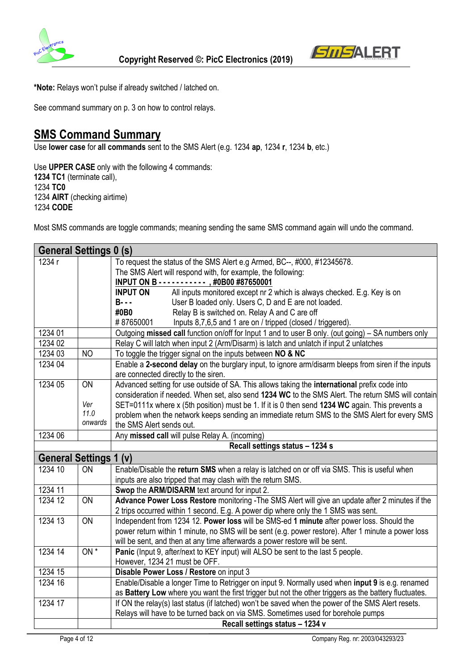



**\*Note:** Relays won't pulse if already switched / latched on.

See command summary on p. 3 on how to control relays.

## **SMS Command Summary**

Use **lower case** for **all commands** sent to the SMS Alert (e.g. 1234 **ap**, 1234 **r**, 1234 **b**, etc.)

Use **UPPER CASE** only with the following 4 commands: **1234 TC1** (terminate call), 1234 **TC0**  1234 **AIRT** (checking airtime) 1234 **CODE**

Most SMS commands are toggle commands; meaning sending the same SMS command again will undo the command.

|                               | <b>General Settings 0 (s)</b>   |                                                                                                       |  |
|-------------------------------|---------------------------------|-------------------------------------------------------------------------------------------------------|--|
| 1234 r                        |                                 | To request the status of the SMS Alert e.g Armed, BC--, #000, #12345678.                              |  |
|                               |                                 | The SMS Alert will respond with, for example, the following:                                          |  |
|                               |                                 | INPUT ON B - - - - - - - - - - - , #0B00 #87650001                                                    |  |
|                               |                                 | <b>INPUT ON</b><br>All inputs monitored except nr 2 which is always checked. E.g. Key is on           |  |
|                               |                                 | $B - - -$<br>User B loaded only. Users C, D and E are not loaded.                                     |  |
|                               |                                 | #0B0<br>Relay B is switched on. Relay A and C are off                                                 |  |
|                               |                                 | #87650001<br>Inputs 8,7,6,5 and 1 are on / tripped (closed / triggered).                              |  |
| 1234 01                       |                                 | Outgoing missed call function on/off for Input 1 and to user B only. (out going) – SA numbers only    |  |
| 1234 02                       |                                 | Relay C will latch when input 2 (Arm/Disarm) is latch and unlatch if input 2 unlatches                |  |
| 1234 03                       | <b>NO</b>                       | To toggle the trigger signal on the inputs between NO & NC                                            |  |
| 1234 04                       |                                 | Enable a 2-second delay on the burglary input, to ignore arm/disarm bleeps from siren if the inputs   |  |
|                               |                                 | are connected directly to the siren.                                                                  |  |
| 1234 05                       | ON                              | Advanced setting for use outside of SA. This allows taking the international prefix code into         |  |
|                               |                                 | consideration if needed. When set, also send 1234 WC to the SMS Alert. The return SMS will contain    |  |
|                               | Ver                             | SET=0111x where x (5th position) must be 1. If it is 0 then send 1234 WC again. This prevents a       |  |
|                               | 11.0                            | problem when the network keeps sending an immediate return SMS to the SMS Alert for every SMS         |  |
|                               | onwards                         | the SMS Alert sends out.                                                                              |  |
| 1234 06                       |                                 | Any missed call will pulse Relay A. (incoming)                                                        |  |
|                               | Recall settings status - 1234 s |                                                                                                       |  |
| <b>General Settings 1 (v)</b> |                                 |                                                                                                       |  |
| 1234 10                       | ON                              | Enable/Disable the return SMS when a relay is latched on or off via SMS. This is useful when          |  |
|                               |                                 | inputs are also tripped that may clash with the return SMS.                                           |  |
| 1234 11                       |                                 | Swop the ARM/DISARM text around for input 2.                                                          |  |
| 1234 12                       | <b>ON</b>                       | Advance Power Loss Restore monitoring - The SMS Alert will give an update after 2 minutes if the      |  |
|                               |                                 | 2 trips occurred within 1 second. E.g. A power dip where only the 1 SMS was sent.                     |  |
| 1234 13                       | ON                              | Independent from 1234 12. Power loss will be SMS-ed 1 minute after power loss. Should the             |  |
|                               |                                 | power return within 1 minute, no SMS will be sent (e.g. power restore). After 1 minute a power loss   |  |
|                               |                                 | will be sent, and then at any time afterwards a power restore will be sent.                           |  |
| 1234 14                       | $ON*$                           | Panic (Input 9, after/next to KEY input) will ALSO be sent to the last 5 people.                      |  |
|                               |                                 | However, 1234 21 must be OFF.                                                                         |  |
| 1234 15                       |                                 | Disable Power Loss / Restore on input 3                                                               |  |
| 1234 16                       |                                 | Enable/Disable a longer Time to Retrigger on input 9. Normally used when input 9 is e.g. renamed      |  |
|                               |                                 | as Battery Low where you want the first trigger but not the other triggers as the battery fluctuates. |  |
| 1234 17                       |                                 | If ON the relay(s) last status (if latched) won't be saved when the power of the SMS Alert resets.    |  |
|                               |                                 | Relays will have to be turned back on via SMS. Sometimes used for borehole pumps                      |  |
|                               |                                 | Recall settings status - 1234 v                                                                       |  |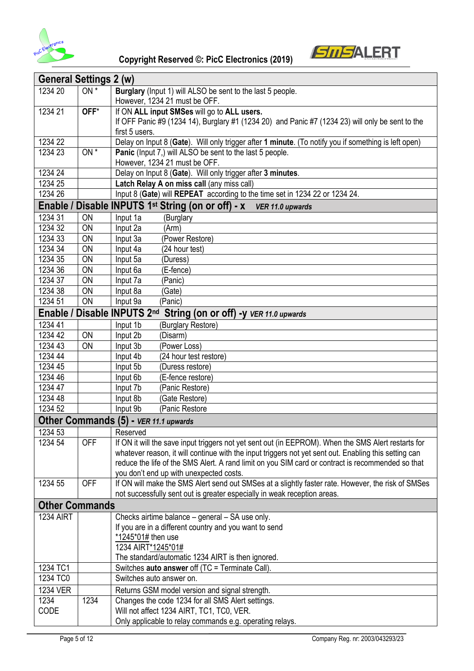



| <b>General Settings 2 (w)</b> |                 |                                                                                                       |  |
|-------------------------------|-----------------|-------------------------------------------------------------------------------------------------------|--|
| 1234 20                       | $ON^*$          | Burglary (Input 1) will ALSO be sent to the last 5 people.                                            |  |
|                               |                 | However, 1234 21 must be OFF.                                                                         |  |
| 1234 21                       | OFF*            | If ON ALL input SMSes will go to ALL users.                                                           |  |
|                               |                 | If OFF Panic #9 (1234 14), Burglary #1 (1234 20) and Panic #7 (1234 23) will only be sent to the      |  |
|                               |                 | first 5 users.                                                                                        |  |
| 1234 22                       |                 | Delay on Input 8 (Gate). Will only trigger after 1 minute. (To notify you if something is left open)  |  |
| 1234 23                       | ON <sup>*</sup> | Panic (Input 7,) will ALSO be sent to the last 5 people.                                              |  |
|                               |                 | However, 1234 21 must be OFF.                                                                         |  |
| 1234 24                       |                 | Delay on Input 8 (Gate). Will only trigger after 3 minutes.                                           |  |
| 1234 25                       |                 | Latch Relay A on miss call (any miss call)                                                            |  |
| 1234 26                       |                 | Input 8 (Gate) will REPEAT according to the time set in 1234 22 or 1234 24.                           |  |
| Enable /                      |                 | Disable INPUTS 1st String (on or off) - x VER 11.0 upwards                                            |  |
| 1234 31                       | <b>ON</b>       | (Burglary<br>Input 1a                                                                                 |  |
| 1234 32                       | ON              | Input 2a<br>(Arm)                                                                                     |  |
| 1234 33                       | ON              | (Power Restore)<br>Input 3a                                                                           |  |
| 1234 34                       | ON              | (24 hour test)<br>Input 4a                                                                            |  |
| 1234 35                       | ON              | Input 5a<br>(Duress)                                                                                  |  |
| 1234 36                       | ON              | (E-fence)<br>Input 6a                                                                                 |  |
| 1234 37                       | ON              | Input 7a<br>(Panic)                                                                                   |  |
| 1234 38                       | ON              | Input 8a<br>(Gate)                                                                                    |  |
| 1234 51                       | ON              | Input 9a<br>(Panic)                                                                                   |  |
| Enable /                      |                 | Disable INPUTS 2nd<br>String (on or off) -y VER 11.0 upwards                                          |  |
| 1234 41                       |                 | Input 1b<br>(Burglary Restore)                                                                        |  |
| 1234 42                       | ON              | Input 2b<br>(Disarm)                                                                                  |  |
| 1234 43                       | ON              | Input 3b<br>(Power Loss)                                                                              |  |
| 1234 44                       |                 | Input 4b<br>(24 hour test restore)                                                                    |  |
| 1234 45                       |                 | Input 5b<br>(Duress restore)                                                                          |  |
| 1234 46                       |                 | Input 6b<br>(E-fence restore)                                                                         |  |
| 1234 47                       |                 | Input 7b<br>(Panic Restore)                                                                           |  |
| 1234 48                       |                 | Input 8b<br>(Gate Restore)                                                                            |  |
| 1234 52                       |                 | Input 9b<br>(Panic Restore                                                                            |  |
|                               |                 | Other Commands (5) - VER 11.1 upwards                                                                 |  |
| 1234 53                       |                 | Reserved                                                                                              |  |
| 1234 54                       | <b>OFF</b>      | If ON it will the save input triggers not yet sent out (in EEPROM). When the SMS Alert restarts for   |  |
|                               |                 | whatever reason, it will continue with the input triggers not yet sent out. Enabling this setting can |  |
|                               |                 | reduce the life of the SMS Alert. A rand limit on you SIM card or contract is recommended so that     |  |
|                               |                 | you don't end up with unexpected costs.                                                               |  |
| 1234 55                       | <b>OFF</b>      | If ON will make the SMS Alert send out SMSes at a slightly faster rate. However, the risk of SMSes    |  |
|                               |                 | not successfully sent out is greater especially in weak reception areas.                              |  |
| <b>Other Commands</b>         |                 |                                                                                                       |  |
| <b>1234 AIRT</b>              |                 | Checks airtime balance - general - SA use only.                                                       |  |
|                               |                 | If you are in a different country and you want to send                                                |  |
|                               |                 | *1245*01# then use                                                                                    |  |
|                               |                 | 1234 AIRT*1245*01#                                                                                    |  |
|                               |                 | The standard/automatic 1234 AIRT is then ignored.                                                     |  |
| 1234 TC1                      |                 | Switches auto answer off (TC = Terminate Call).                                                       |  |
| 1234 TC0                      |                 | Switches auto answer on.                                                                              |  |
| <b>1234 VER</b>               |                 | Returns GSM model version and signal strength.                                                        |  |
| 1234                          | 1234            | Changes the code 1234 for all SMS Alert settings.                                                     |  |
| <b>CODE</b>                   |                 | Will not affect 1234 AIRT, TC1, TC0, VER.                                                             |  |
|                               |                 | Only applicable to relay commands e.g. operating relays.                                              |  |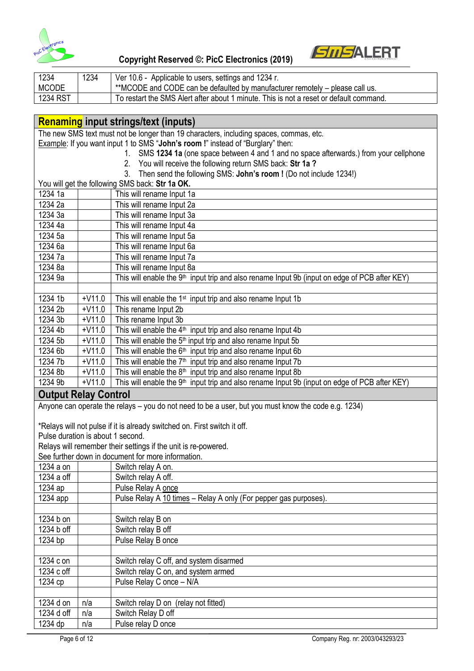

| 1234         | 1234 | Ver 10.6 - Applicable to users, settings and 1234 r.                                   |
|--------------|------|----------------------------------------------------------------------------------------|
| <b>MCODE</b> |      | **MCODE and CODE can be defaulted by manufacturer remotely – please call us.           |
| 1234 RST     |      | To restart the SMS Alert after about 1 minute. This is not a reset or default command. |

#### **Renaming input strings/text (inputs)**

The new SMS text must not be longer than 19 characters, including spaces, commas, etc.

Example: If you want input 1 to SMS "**John's room !**" instead of "Burglary" then:

1. SMS **1234 1a** (one space between 4 and 1 and no space afterwards.) from your cellphone

*SMSALERT* 

- 2. You will receive the following return SMS back: **Str 1a ?**
	- 3. Then send the following SMS: **John's room !** (Do not include 1234!)

|                                                                           |          | $\sim$ 1.1011 00110 1101 0110111110 01110. 001111 0 1 00111 1 1011 1011 1101100 120 1.7                   |  |  |
|---------------------------------------------------------------------------|----------|-----------------------------------------------------------------------------------------------------------|--|--|
|                                                                           |          | You will get the following SMS back: Str 1a OK.                                                           |  |  |
| 1234 1a                                                                   |          | This will rename Input 1a                                                                                 |  |  |
| 1234 2a                                                                   |          | This will rename Input 2a                                                                                 |  |  |
| 1234 3a                                                                   |          | This will rename Input 3a                                                                                 |  |  |
| 1234 4a                                                                   |          | This will rename Input 4a                                                                                 |  |  |
| 1234 5a                                                                   |          | This will rename Input 5a                                                                                 |  |  |
| 1234 6a                                                                   |          | This will rename Input 6a                                                                                 |  |  |
| 1234 7a                                                                   |          | This will rename Input 7a                                                                                 |  |  |
| 1234 8a                                                                   |          | This will rename Input 8a                                                                                 |  |  |
| 1234 9a                                                                   |          | This will enable the 9 <sup>th</sup> input trip and also rename Input 9b (input on edge of PCB after KEY) |  |  |
|                                                                           |          |                                                                                                           |  |  |
| 1234 1b                                                                   | $+V11.0$ | This will enable the 1 <sup>st</sup> input trip and also rename Input 1b                                  |  |  |
| 1234 2b                                                                   | $+V11.0$ | This rename Input 2b                                                                                      |  |  |
| 1234 3b                                                                   | $+V11.0$ | This rename Input 3b                                                                                      |  |  |
| 1234 4b                                                                   | $+V11.0$ | This will enable the 4 <sup>th</sup> input trip and also rename Input 4b                                  |  |  |
| 1234 5b                                                                   | $+V11.0$ | This will enable the 5 <sup>th</sup> input trip and also rename Input 5b                                  |  |  |
| 1234 6b                                                                   | $+V11.0$ | This will enable the $6th$ input trip and also rename Input 6b                                            |  |  |
| 1234 7b                                                                   | $+V11.0$ | This will enable the 7 <sup>th</sup> input trip and also rename Input 7b                                  |  |  |
| 1234 8b                                                                   | $+V11.0$ | This will enable the $8th$ input trip and also rename Input 8b                                            |  |  |
| 1234 9b                                                                   | $+V11.0$ | This will enable the 9 <sup>th</sup> input trip and also rename Input 9b (input on edge of PCB after KEY) |  |  |
| <b>Output Relay Control</b>                                               |          |                                                                                                           |  |  |
|                                                                           |          | Anyone can operate the relays - you do not need to be a user, but you must know the code e.g. 1234)       |  |  |
|                                                                           |          |                                                                                                           |  |  |
| *Relays will not pulse if it is already switched on. First switch it off. |          |                                                                                                           |  |  |
| Pulse duration is about 1 second.                                         |          |                                                                                                           |  |  |
| Relays will remember their settings if the unit is re-powered.            |          |                                                                                                           |  |  |
| See further down in document for more information.                        |          |                                                                                                           |  |  |
| 1234 a on                                                                 |          | Switch relay A on.                                                                                        |  |  |
| 1234 a off                                                                |          | Switch relay A off.                                                                                       |  |  |
| 1234 ap                                                                   |          | Pulse Relay A once                                                                                        |  |  |
| 1234 app                                                                  |          | Pulse Relay A 10 times - Relay A only (For pepper gas purposes).                                          |  |  |

| izu4 app     |     | Puise Neidy A TO times - Neidy A Only (Por pepper gas purposes). |                                 |
|--------------|-----|------------------------------------------------------------------|---------------------------------|
|              |     |                                                                  |                                 |
| 1234 b on    |     | Switch relay B on                                                |                                 |
| 1234 b off   |     | Switch relay B off                                               |                                 |
| 1234 bp      |     | Pulse Relay B once                                               |                                 |
|              |     |                                                                  |                                 |
| 1234 c on    |     | Switch relay C off, and system disarmed                          |                                 |
| 1234 c off   |     | Switch relay C on, and system armed                              |                                 |
| 1234 cp      |     | Pulse Relay C once - N/A                                         |                                 |
|              |     |                                                                  |                                 |
| 1234 d on    | n/a | Switch relay D on (relay not fitted)                             |                                 |
| 1234 d off   | n/a | Switch Relay D off                                               |                                 |
| 1234 dp      | n/a | Pulse relay D once                                               |                                 |
|              |     |                                                                  |                                 |
| Page 6 of 12 |     |                                                                  | Company Reg. nr: 2003/043293/23 |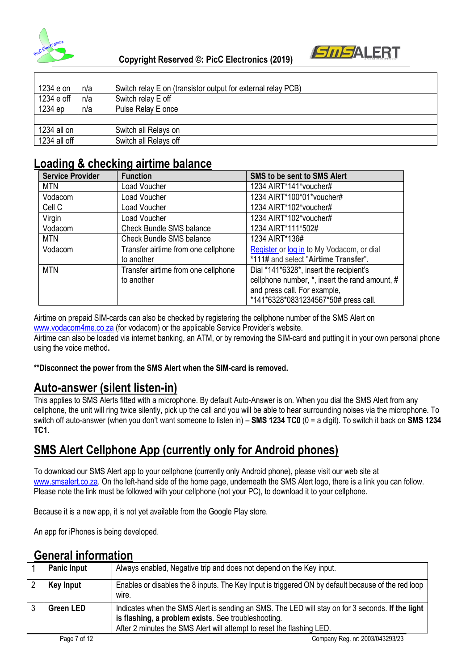



| 1234 e on    | n/a | Switch relay E on (transistor output for external relay PCB) |
|--------------|-----|--------------------------------------------------------------|
| 1234 e off   | n/a | Switch relay E off                                           |
| 1234 ep      | n/a | Pulse Relay E once                                           |
|              |     |                                                              |
| 1234 all on  |     | Switch all Relays on                                         |
| 1234 all off |     | Switch all Relays off                                        |

## **Loading & checking airtime balance**

| <b>Service Provider</b> | <b>Function</b>                     | SMS to be sent to SMS Alert                    |
|-------------------------|-------------------------------------|------------------------------------------------|
| <b>MTN</b>              | Load Voucher                        | 1234 AIRT*141*voucher#                         |
| Vodacom                 | Load Voucher                        | 1234 AIRT*100*01*voucher#                      |
| Cell C                  | Load Voucher                        | 1234 AIRT*102*voucher#                         |
| Virgin                  | Load Voucher                        | 1234 AIRT*102*voucher#                         |
| Vodacom                 | <b>Check Bundle SMS balance</b>     | 1234 AIRT*111*502#                             |
| MTN                     | <b>Check Bundle SMS balance</b>     | 1234 AIRT*136#                                 |
| Vodacom                 | Transfer airtime from one cellphone | Register or log in to My Vodacom, or dial      |
|                         | to another                          | *111# and select "Airtime Transfer".           |
| <b>MTN</b>              | Transfer airtime from one cellphone | Dial *141*6328*, insert the recipient's        |
|                         | to another                          | cellphone number, *, insert the rand amount, # |
|                         |                                     | and press call. For example,                   |
|                         |                                     | *141*6328*0831234567*50# press call.           |

Airtime on prepaid SIM-cards can also be checked by registering the cellphone number of the SMS Alert on [www.vodacom4me.co.za](http://www.vodacom4me.co.za/) (for vodacom) or the applicable Service Provider's website.

Airtime can also be loaded via internet banking, an ATM, or by removing the SIM-card and putting it in your own personal phone using the voice method**.** 

#### **\*\*Disconnect the power from the SMS Alert when the SIM-card is removed.**

#### **Auto-answer (silent listen-in)**

This applies to SMS Alerts fitted with a microphone. By default Auto-Answer is on. When you dial the SMS Alert from any cellphone, the unit will ring twice silently, pick up the call and you will be able to hear surrounding noises via the microphone. To switch off auto-answer (when you don't want someone to listen in) – **SMS 1234 TC0** (0 = a digit). To switch it back on **SMS 1234 TC1**.

## **SMS Alert Cellphone App (currently only for Android phones)**

To download our SMS Alert app to your cellphone (currently only Android phone), please visit our web site at [www.smsalert.co.za.](http://www.smsalert.co.za/) On the left-hand side of the home page, underneath the SMS Alert logo, there is a link you can follow. Please note the link must be followed with your cellphone (not your PC), to download it to your cellphone.

Because it is a new app, it is not yet available from the Google Play store.

An app for iPhones is being developed.

## **General information**

|              | <b>Panic Input</b> | Always enabled, Negative trip and does not depend on the Key input.                                                                                                                                                              |
|--------------|--------------------|----------------------------------------------------------------------------------------------------------------------------------------------------------------------------------------------------------------------------------|
|              | <b>Key Input</b>   | Enables or disables the 8 inputs. The Key Input is triggered ON by default because of the red loop<br>wire.                                                                                                                      |
|              | <b>Green LED</b>   | Indicates when the SMS Alert is sending an SMS. The LED will stay on for 3 seconds. If the light<br>is flashing, a problem exists. See troubleshooting.<br>After 2 minutes the SMS Alert will attempt to reset the flashing LED. |
| Page 7 of 12 |                    | Company Reg. nr: 2003/043293/23                                                                                                                                                                                                  |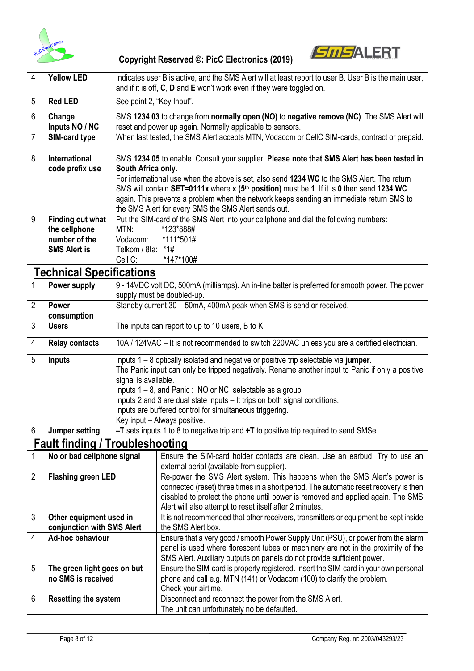



## **Technical Specifications**

|                | Power supply          | 9 - 14VDC volt DC, 500mA (milliamps). An in-line batter is preferred for smooth power. The power<br>supply must be doubled-up.                                                                                                                                                                                                                                                                                                                             |
|----------------|-----------------------|------------------------------------------------------------------------------------------------------------------------------------------------------------------------------------------------------------------------------------------------------------------------------------------------------------------------------------------------------------------------------------------------------------------------------------------------------------|
| 2              | <b>Power</b>          | Standby current 30 - 50mA, 400mA peak when SMS is send or received.                                                                                                                                                                                                                                                                                                                                                                                        |
|                | consumption           |                                                                                                                                                                                                                                                                                                                                                                                                                                                            |
| 3              | <b>Users</b>          | The inputs can report to up to 10 users, B to K.                                                                                                                                                                                                                                                                                                                                                                                                           |
| $\overline{4}$ | <b>Relay contacts</b> | 10A / 124VAC – It is not recommended to switch 220VAC unless you are a certified electrician.                                                                                                                                                                                                                                                                                                                                                              |
| 5              | <b>Inputs</b>         | Inputs $1 - 8$ optically isolated and negative or positive trip selectable via jumper.<br>The Panic input can only be tripped negatively. Rename another input to Panic if only a positive<br>signal is available.<br>Inputs $1 - 8$ , and Panic: NO or NC selectable as a group<br>Inputs 2 and 3 are dual state inputs – It trips on both signal conditions.<br>Inputs are buffered control for simultaneous triggering.<br>Key input - Always positive. |
| 6              | Jumper setting:       | $-T$ sets inputs 1 to 8 to negative trip and $+T$ to positive trip required to send SMSe.                                                                                                                                                                                                                                                                                                                                                                  |

### **Fault finding / Troubleshooting**

|   | No or bad cellphone signal  | Ensure the SIM-card holder contacts are clean. Use an earbud. Try to use an                                                                                                                                                                       |
|---|-----------------------------|---------------------------------------------------------------------------------------------------------------------------------------------------------------------------------------------------------------------------------------------------|
|   |                             | external aerial (available from supplier).                                                                                                                                                                                                        |
| 2 | <b>Flashing green LED</b>   | Re-power the SMS Alert system. This happens when the SMS Alert's power is                                                                                                                                                                         |
|   |                             | connected (reset) three times in a short period. The automatic reset recovery is then                                                                                                                                                             |
|   |                             | disabled to protect the phone until power is removed and applied again. The SMS                                                                                                                                                                   |
|   |                             | Alert will also attempt to reset itself after 2 minutes.                                                                                                                                                                                          |
| 3 | Other equipment used in     | It is not recommended that other receivers, transmitters or equipment be kept inside                                                                                                                                                              |
|   | conjunction with SMS Alert  | the SMS Alert box.                                                                                                                                                                                                                                |
| 4 | Ad-hoc behaviour            | Ensure that a very good / smooth Power Supply Unit (PSU), or power from the alarm<br>panel is used where florescent tubes or machinery are not in the proximity of the<br>SMS Alert. Auxiliary outputs on panels do not provide sufficient power. |
| 5 | The green light goes on but | Ensure the SIM-card is properly registered. Insert the SIM-card in your own personal                                                                                                                                                              |
|   | no SMS is received          | phone and call e.g. MTN (141) or Vodacom (100) to clarify the problem.                                                                                                                                                                            |
|   |                             | Check your airtime.                                                                                                                                                                                                                               |
| 6 | <b>Resetting the system</b> | Disconnect and reconnect the power from the SMS Alert.                                                                                                                                                                                            |
|   |                             | The unit can unfortunately no be defaulted.                                                                                                                                                                                                       |

*SMSALERT*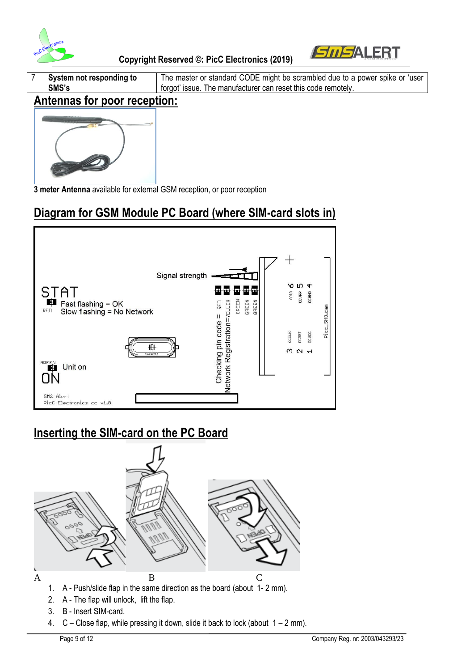



**System not responding to SMS's** The master or standard CODE might be scrambled due to a power spike or 'user forgot' issue. The manufacturer can reset this code remotely.

### **Antennas for poor reception:**



**3 meter Antenna** available for external GSM reception, or poor reception

# **Diagram for GSM Module PC Board (where SIM-card slots in)**



## **Inserting the SIM-card on the PC Board**



- 2. A The flap will unlock, lift the flap.
- 3. B Insert SIM-card.
- 4.  $C -$  Close flap, while pressing it down, slide it back to lock (about  $1 2$  mm).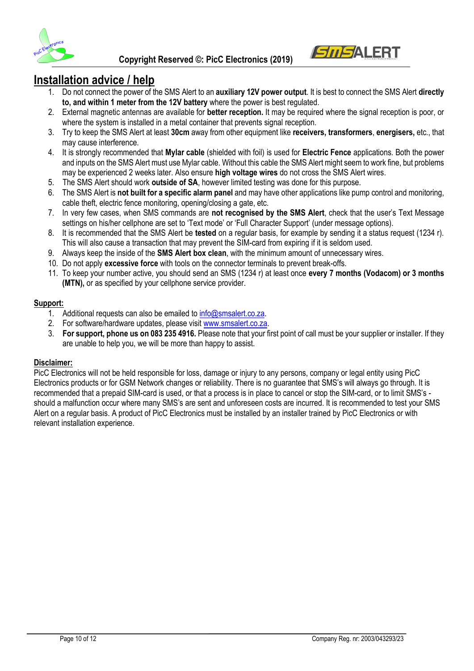

#### **Installation advice / help**

1. Do not connect the power of the SMS Alert to an **auxiliary 12V power output**. It is best to connect the SMS Alert **directly to, and within 1 meter from the 12V battery** where the power is best regulated.

*SMSAL*ERT

- 2. External magnetic antennas are available for **better reception.** It may be required where the signal reception is poor, or where the system is installed in a metal container that prevents signal reception.
- 3. Try to keep the SMS Alert at least **30cm** away from other equipment like **receivers, transformers**, **energisers,** etc., that may cause interference.
- 4. It is strongly recommended that **Mylar cable** (shielded with foil) is used for **Electric Fence** applications. Both the power and inputs on the SMS Alert must use Mylar cable. Without this cable the SMS Alert might seem to work fine, but problems may be experienced 2 weeks later. Also ensure **high voltage wires** do not cross the SMS Alert wires.
- 5. The SMS Alert should work **outside of SA**, however limited testing was done for this purpose.
- 6. The SMS Alert is **not built for a specific alarm panel** and may have other applications like pump control and monitoring, cable theft, electric fence monitoring, opening/closing a gate, etc.
- 7. In very few cases, when SMS commands are **not recognised by the SMS Alert**, check that the user's Text Message settings on his/her cellphone are set to 'Text mode' or 'Full Character Support' (under message options).
- 8. It is recommended that the SMS Alert be **tested** on a regular basis, for example by sending it a status request (1234 r). This will also cause a transaction that may prevent the SIM-card from expiring if it is seldom used.
- 9. Always keep the inside of the **SMS Alert box clean**, with the minimum amount of unnecessary wires.
- 10. Do not apply **excessive force** with tools on the connector terminals to prevent break-offs.
- 11. To keep your number active, you should send an SMS (1234 r) at least once **every 7 months (Vodacom) or 3 months (MTN),** or as specified by your cellphone service provider.

#### **Support:**

- 1. Additional requests can also be emailed t[o info@smsalert.co.za.](mailto:info@smsalert.co.za)
- 2. For software/hardware updates, please visi[t www.smsalert.co.za.](http://www.smsalert.co.za/)
- 3. **For support, phone us on 083 235 4916.** Please note that your first point of call must be your supplier or installer. If they are unable to help you, we will be more than happy to assist.

#### **Disclaimer:**

PicC Electronics will not be held responsible for loss, damage or injury to any persons, company or legal entity using PicC Electronics products or for GSM Network changes or reliability. There is no guarantee that SMS's will always go through. It is recommended that a prepaid SIM-card is used, or that a process is in place to cancel or stop the SIM-card, or to limit SMS's should a malfunction occur where many SMS's are sent and unforeseen costs are incurred. It is recommended to test your SMS Alert on a regular basis. A product of PicC Electronics must be installed by an installer trained by PicC Electronics or with relevant installation experience.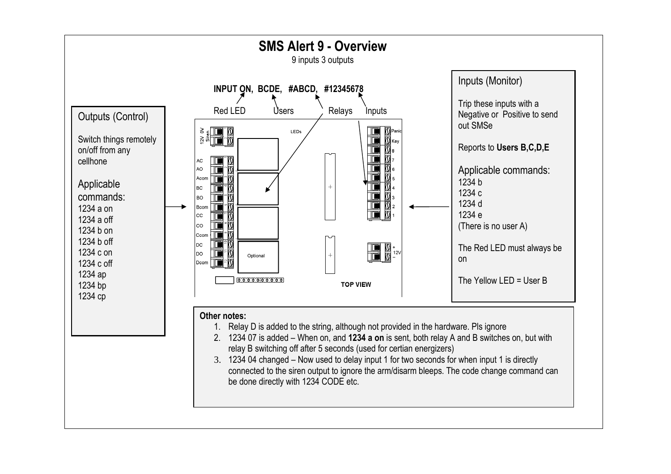